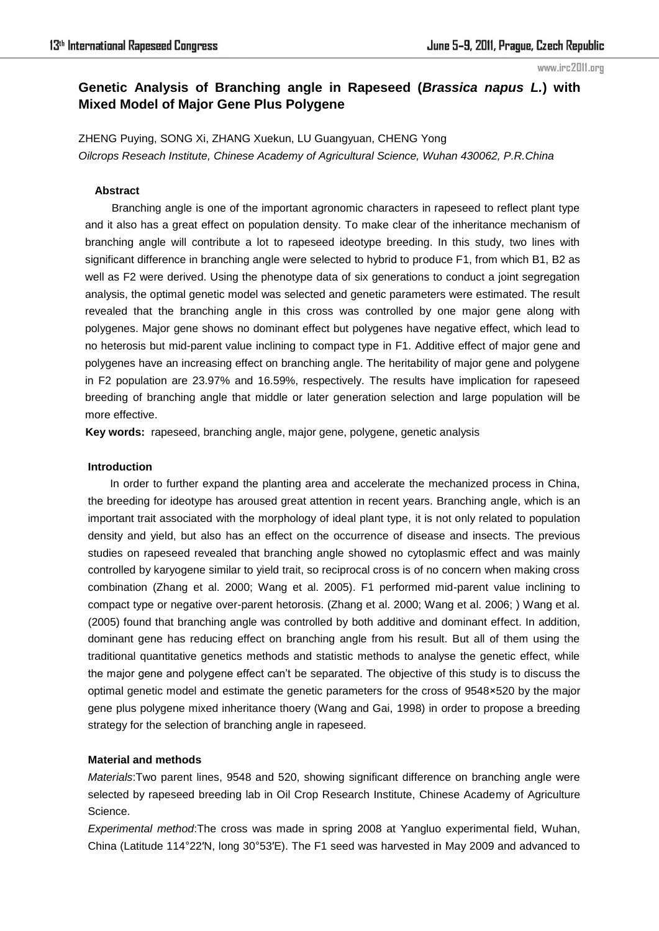#### www.irc2011.org

# **Genetic Analysis of Branching angle in Rapeseed (***Brassica napus L.***) with Mixed Model of Major Gene Plus Polygene**

ZHENG Puying, SONG Xi, ZHANG Xuekun, LU Guangyuan, CHENG Yong *Oilcrops Reseach Institute, Chinese Academy of Agricultural Science, Wuhan 430062, P.R.China* 

# **Abstract**

Branching angle is one of the important agronomic characters in rapeseed to reflect plant type and it also has a great effect on population density. To make clear of the inheritance mechanism of branching angle will contribute a lot to rapeseed ideotype breeding. In this study, two lines with significant difference in branching angle were selected to hybrid to produce F1, from which B1, B2 as well as F2 were derived. Using the phenotype data of six generations to conduct a joint segregation analysis, the optimal genetic model was selected and genetic parameters were estimated. The result revealed that the branching angle in this cross was controlled by one major gene along with polygenes. Major gene shows no dominant effect but polygenes have negative effect, which lead to no heterosis but mid-parent value inclining to compact type in F1. Additive effect of major gene and polygenes have an increasing effect on branching angle. The heritability of major gene and polygene in F2 population are 23.97% and 16.59%, respectively. The results have implication for rapeseed breeding of branching angle that middle or later generation selection and large population will be more effective.

**Key words:** rapeseed, branching angle, major gene, polygene, genetic analysis

# **Introduction**

In order to further expand the planting area and accelerate the mechanized process in China, the breeding for ideotype has aroused great attention in recent years. Branching angle, which is an important trait associated with the morphology of ideal plant type, it is not only related to population density and yield, but also has an effect on the occurrence of disease and insects. The previous studies on rapeseed revealed that branching angle showed no cytoplasmic effect and was mainly controlled by karyogene similar to yield trait, so reciprocal cross is of no concern when making cross combination (Zhang et al. 2000; Wang et al. 2005). F1 performed mid-parent value inclining to compact type or negative over-parent hetorosis. (Zhang et al. 2000; Wang et al. 2006; ) Wang et al. (2005) found that branching angle was controlled by both additive and dominant effect. In addition, dominant gene has reducing effect on branching angle from his result. But all of them using the traditional quantitative genetics methods and statistic methods to analyse the genetic effect, while the major gene and polygene effect can't be separated. The objective of this study is to discuss the optimal genetic model and estimate the genetic parameters for the cross of 9548×520 by the major gene plus polygene mixed inheritance thoery (Wang and Gai, 1998) in order to propose a breeding strategy for the selection of branching angle in rapeseed.

#### **Material and methods**

*Materials*:Two parent lines, 9548 and 520, showing significant difference on branching angle were selected by rapeseed breeding lab in Oil Crop Research Institute, Chinese Academy of Agriculture Science.

*Experimental method*:The cross was made in spring 2008 at Yangluo experimental field, Wuhan, China (Latitude 114°22′N, long 30°53′E). The F1 seed was harvested in May 2009 and advanced to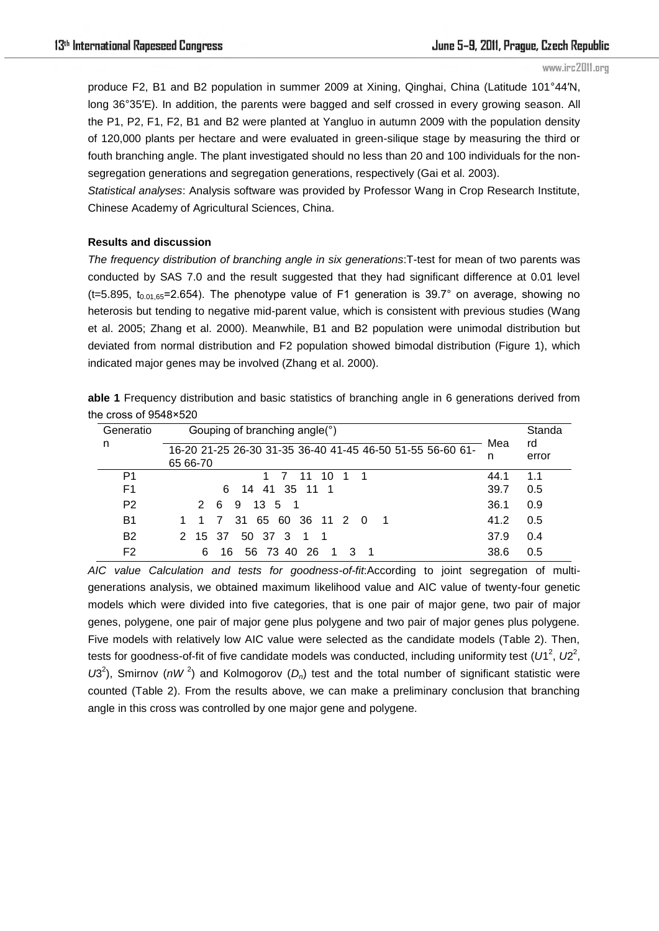#### www.irc2011.org

produce F2, B1 and B2 population in summer 2009 at Xining, Qinghai, China (Latitude 101°44′N, long 36°35′E). In addition, the parents were bagged and self crossed in every growing season. All the P1, P2, F1, F2, B1 and B2 were planted at Yangluo in autumn 2009 with the population density of 120,000 plants per hectare and were evaluated in green-silique stage by measuring the third or fouth branching angle. The plant investigated should no less than 20 and 100 individuals for the nonsegregation generations and segregation generations, respectively (Gai et al. 2003).

*Statistical analyses*: Analysis software was provided by Professor Wang in Crop Research Institute, Chinese Academy of Agricultural Sciences, China.

# **Results and discussion**

*The frequency distribution of branching angle in six generations*:T-test for mean of two parents was conducted by SAS 7.0 and the result suggested that they had significant difference at 0.01 level  $(t=5.895, t_{0.01,65}=2.654)$ . The phenotype value of F1 generation is 39.7° on average, showing no heterosis but tending to negative mid-parent value, which is consistent with previous studies (Wang et al. 2005; Zhang et al. 2000). Meanwhile, B1 and B2 population were unimodal distribution but deviated from normal distribution and F2 population showed bimodal distribution (Figure 1), which indicated major genes may be involved (Zhang et al. 2000).

|                              | able 1 Frequency distribution and basic statistics of branching angle in 6 generations derived from |  |  |  |
|------------------------------|-----------------------------------------------------------------------------------------------------|--|--|--|
| the cross of $9548\times520$ |                                                                                                     |  |  |  |

| Generatio      | Gouping of branching angle(°)                             | Mea  | Standa<br>rd |  |
|----------------|-----------------------------------------------------------|------|--------------|--|
| n              | 16-20 21-25 26-30 31-35 36-40 41-45 46-50 51-55 56-60 61- |      | error        |  |
|                | 65 66-70                                                  |      |              |  |
| P1             | 11 10<br>$\overline{1}$                                   | 44.1 | 1.1          |  |
| F1             | 14 41 35 11 1<br>6.                                       | 39.7 | 0.5          |  |
| P <sub>2</sub> | 2 6<br>9 13 5 1                                           | 36.1 | 0.9          |  |
| B1             | 31 65 60 36 11 2 0<br><sup>7</sup>                        | 41.2 | 0.5          |  |
| <b>B2</b>      | 50 37 3<br>2 15 37<br>1 1                                 | 37.9 | 0.4          |  |
| F <sub>2</sub> | 26<br>6<br>56 73 40<br>16                                 | 38.6 | 0.5          |  |

*AIC value Calculation and tests for goodness-of-fit*:According to joint segregation of multigenerations analysis, we obtained maximum likelihood value and AIC value of twenty-four genetic models which were divided into five categories, that is one pair of major gene, two pair of major genes, polygene, one pair of major gene plus polygene and two pair of major genes plus polygene. Five models with relatively low AIC value were selected as the candidate models (Table 2). Then, tests for goodness-of-fit of five candidate models was conducted, including uniformity test (U1<sup>2</sup>, U2<sup>2</sup>,  $U3<sup>2</sup>$ ), Smirnov ( $nW<sup>2</sup>$ ) and Kolmogorov ( $D<sub>n</sub>$ ) test and the total number of significant statistic were counted (Table 2). From the results above, we can make a preliminary conclusion that branching angle in this cross was controlled by one major gene and polygene.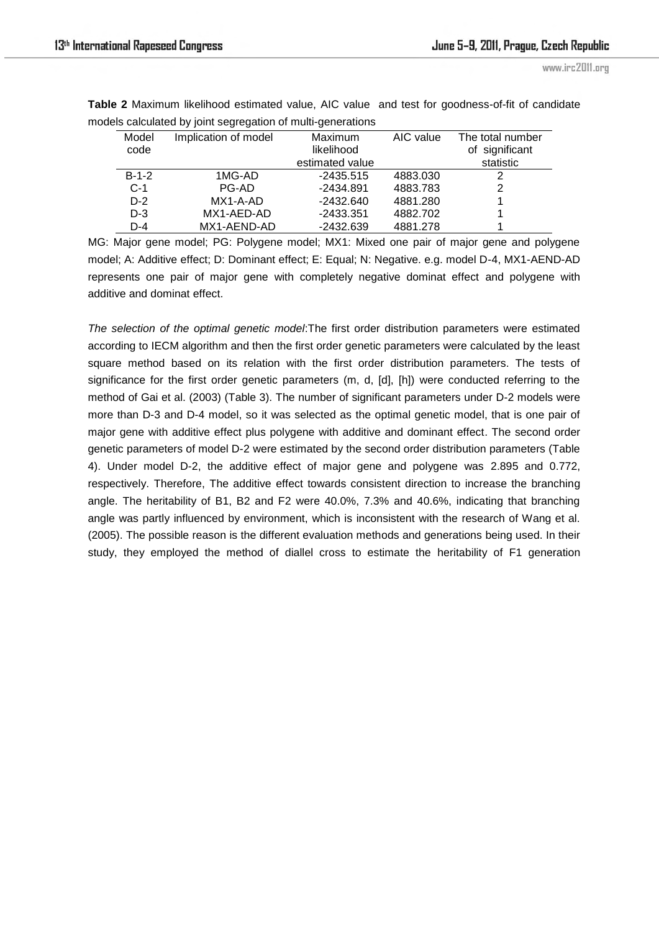| Model<br>code | Implication of model | <b>Maximum</b><br>likelihood | AIC value | The total number<br>of significant |
|---------------|----------------------|------------------------------|-----------|------------------------------------|
|               |                      | estimated value              |           | statistic                          |
| $B-1-2$       | 1MG-AD               | $-2435.515$                  | 4883.030  | 2                                  |
| $C-1$         | PG-AD                | -2434.891                    | 4883.783  | 2                                  |
| $D-2$         | $MX1-A-AD$           | $-2432.640$                  | 4881.280  |                                    |
| $D-3$         | MX1-AED-AD           | $-2433.351$                  | 4882.702  |                                    |
| $D-4$         | MX1-AEND-AD          | $-2432.639$                  | 4881.278  |                                    |

**Table 2** Maximum likelihood estimated value, AIC value and test for goodness-of-fit of candidate models calculated by joint segregation of multi-generations

MG: Major gene model; PG: Polygene model; MX1: Mixed one pair of major gene and polygene model; A: Additive effect; D: Dominant effect; E: Equal; N: Negative. e.g. model D-4, MX1-AEND-AD represents one pair of major gene with completely negative dominat effect and polygene with additive and dominat effect.

*The selection of the optimal genetic model*:The first order distribution parameters were estimated according to IECM algorithm and then the first order genetic parameters were calculated by the least square method based on its relation with the first order distribution parameters. The tests of significance for the first order genetic parameters (m, d, [d], [h]) were conducted referring to the method of Gai et al. (2003) (Table 3). The number of significant parameters under D-2 models were more than D-3 and D-4 model, so it was selected as the optimal genetic model, that is one pair of major gene with additive effect plus polygene with additive and dominant effect. The second order genetic parameters of model D-2 were estimated by the second order distribution parameters (Table 4). Under model D-2, the additive effect of major gene and polygene was 2.895 and 0.772, respectively. Therefore, The additive effect towards consistent direction to increase the branching angle. The heritability of B1, B2 and F2 were 40.0%, 7.3% and 40.6%, indicating that branching angle was partly influenced by environment, which is inconsistent with the research of Wang et al. (2005). The possible reason is the different evaluation methods and generations being used. In their study, they employed the method of diallel cross to estimate the heritability of F1 generation